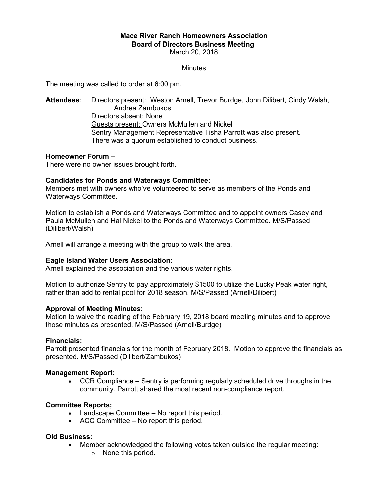# **Mace River Ranch Homeowners Association Board of Directors Business Meeting**  March 20, 2018

# **Minutes**

The meeting was called to order at 6:00 pm.

**Attendees**: Directors present: Weston Arnell, Trevor Burdge, John Dilibert, Cindy Walsh, Andrea Zambukos Directors absent: None Guests present: Owners McMullen and Nickel Sentry Management Representative Tisha Parrott was also present. There was a quorum established to conduct business.

# **Homeowner Forum –**

There were no owner issues brought forth.

# **Candidates for Ponds and Waterways Committee:**

Members met with owners who've volunteered to serve as members of the Ponds and Waterways Committee.

Motion to establish a Ponds and Waterways Committee and to appoint owners Casey and Paula McMullen and Hal Nickel to the Ponds and Waterways Committee. M/S/Passed (Dilibert/Walsh)

Arnell will arrange a meeting with the group to walk the area.

# **Eagle Island Water Users Association:**

Arnell explained the association and the various water rights.

Motion to authorize Sentry to pay approximately \$1500 to utilize the Lucky Peak water right, rather than add to rental pool for 2018 season. M/S/Passed (Arnell/Dilibert)

# **Approval of Meeting Minutes:**

Motion to waive the reading of the February 19, 2018 board meeting minutes and to approve those minutes as presented. M/S/Passed (Arnell/Burdge)

#### **Financials:**

Parrott presented financials for the month of February 2018. Motion to approve the financials as presented. M/S/Passed (Dilibert/Zambukos)

# **Management Report:**

 CCR Compliance – Sentry is performing regularly scheduled drive throughs in the community. Parrott shared the most recent non-compliance report.

# **Committee Reports;**

- Landscape Committee No report this period.
- ACC Committee No report this period.

# **Old Business:**

- Member acknowledged the following votes taken outside the regular meeting:
	- o None this period.